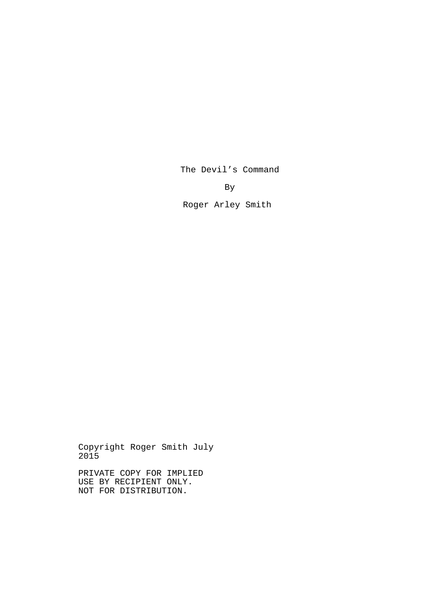The Devil's Command

By

Roger Arley Smith

Copyright Roger Smith July 2015

PRIVATE COPY FOR IMPLIED USE BY RECIPIENT ONLY. NOT FOR DISTRIBUTION.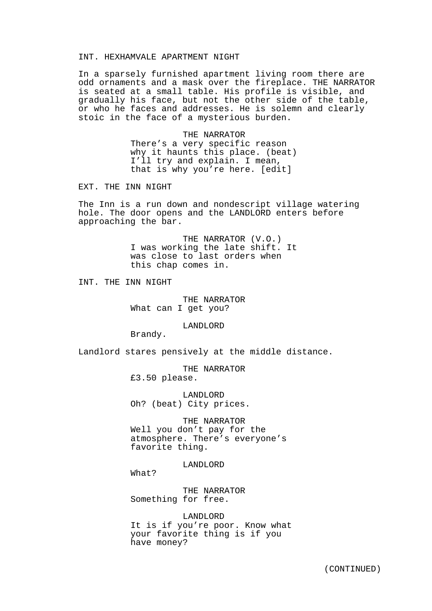### INT. HEXHAMVALE APARTMENT NIGHT

In a sparsely furnished apartment living room there are odd ornaments and a mask over the fireplace. THE NARRATOR is seated at a small table. His profile is visible, and gradually his face, but not the other side of the table, or who he faces and addresses. He is solemn and clearly stoic in the face of a mysterious burden.

> THE NARRATOR There's a very specific reason why it haunts this place. (beat) I'll try and explain. I mean, that is why you're here. [edit]

EXT. THE INN NIGHT

The Inn is a run down and nondescript village watering hole. The door opens and the LANDLORD enters before approaching the bar.

> THE NARRATOR (V.O.) I was working the late shift. It was close to last orders when this chap comes in.

INT. THE INN NIGHT

THE NARRATOR What can I get you?

LANDLORD

Brandy.

Landlord stares pensively at the middle distance.

THE NARRATOR £3.50 please.

LANDLORD Oh? (beat) City prices.

THE NARRATOR Well you don't pay for the atmosphere. There's everyone's favorite thing.

LANDLORD

What?

THE NARRATOR Something for free.

LANDLORD It is if you're poor. Know what your favorite thing is if you have money?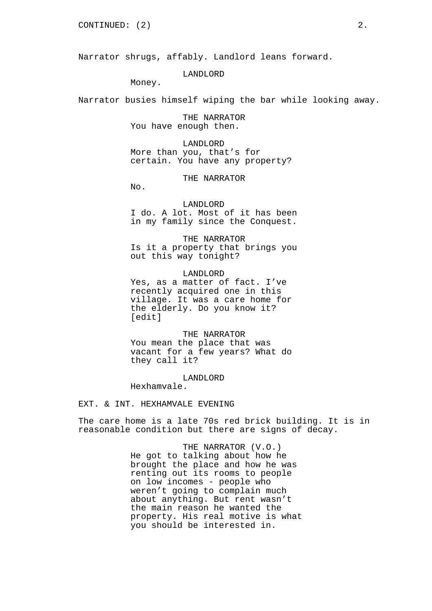Narrator shrugs, affably. Landlord leans forward.

# LANDLORD

Money.

Narrator busies himself wiping the bar while looking away.

THE NARRATOR You have enough then.

LANDLORD More than you, that's for certain. You have any property?

THE NARRATOR

No.

# LANDLORD

I do. A lot. Most of it has been in my family since the Conquest.

THE NARRATOR Is it a property that brings you out this way tonight?

LANDLORD Yes, as a matter of fact. I've recently acquired one in this village. It was a care home for the elderly. Do you know it? [edit]

THE NARRATOR You mean the place that was vacant for a few years? What do they call it?

LANDLORD

Hexhamvale.

EXT. & INT. HEXHAMVALE EVENING

The care home is a late 70s red brick building. It is in reasonable condition but there are signs of decay.

> THE NARRATOR (V.O.) He got to talking about how he brought the place and how he was renting out its rooms to people on low incomes - people who weren't going to complain much about anything. But rent wasn't the main reason he wanted the property. His real motive is what you should be interested in.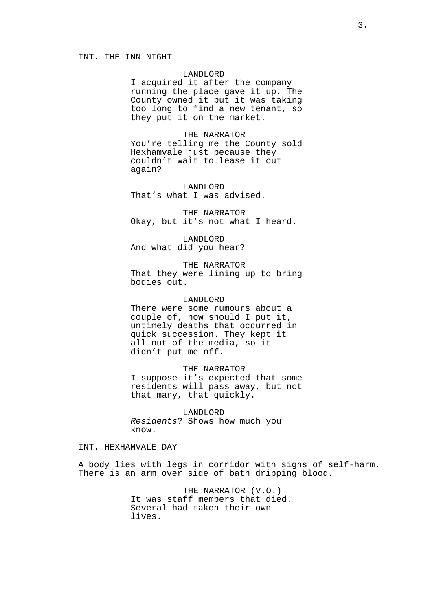# INT. THE INN NIGHT

# LANDLORD

I acquired it after the company running the place gave it up. The County owned it but it was taking too long to find a new tenant, so they put it on the market.

THE NARRATOR You're telling me the County sold Hexhamvale just because they couldn't wait to lease it out again?

LANDLORD That's what I was advised.

THE NARRATOR Okay, but it's not what I heard.

LANDLORD And what did you hear?

THE NARRATOR That they were lining up to bring bodies out.

### LANDLORD

There were some rumours about a couple of, how should I put it, untimely deaths that occurred in quick succession. They kept it all out of the media, so it didn't put me off.

THE NARRATOR

I suppose it's expected that some residents will pass away, but not that many, that quickly.

LANDLORD *Residents*? Shows how much you know.

# INT. HEXHAMVALE DAY

A body lies with legs in corridor with signs of self-harm. There is an arm over side of bath dripping blood.

> THE NARRATOR (V.O.) It was staff members that died. Several had taken their own lives.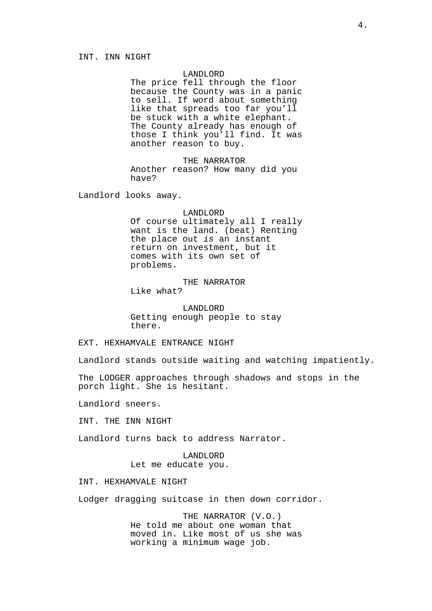# LANDLORD

The price fell through the floor because the County was in a panic to sell. If word about something like that spreads too far you'll be stuck with a white elephant. The County already has enough of those I think you'll find. It was another reason to buy.

THE NARRATOR Another reason? How many did you have?

Landlord looks away.

#### LANDLORD

Of course ultimately all I really want is the land. (beat) Renting the place out *is* an instant return on investment, but it comes with its own set of problems.

THE NARRATOR Like what?

LANDLORD Getting enough people to stay there.

EXT. HEXHAMVALE ENTRANCE NIGHT

Landlord stands outside waiting and watching impatiently.

The LODGER approaches through shadows and stops in the porch light. She is hesitant.

Landlord sneers.

INT. THE INN NIGHT

Landlord turns back to address Narrator.

LANDLORD Let me educate you.

INT. HEXHAMVALE NIGHT

Lodger dragging suitcase in then down corridor.

THE NARRATOR (V.O.) He told me about one woman that moved in. Like most of us she was working a minimum wage job.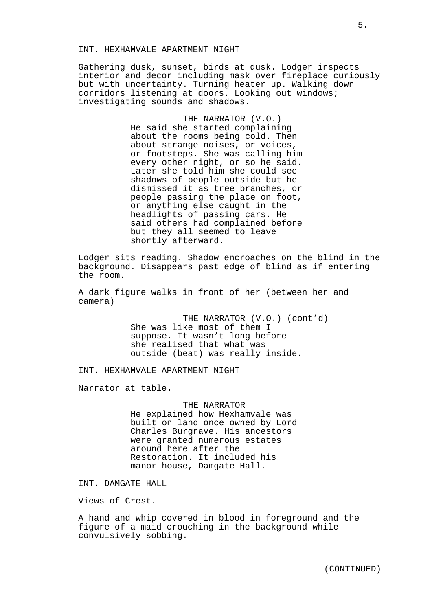# INT. HEXHAMVALE APARTMENT NIGHT

Gathering dusk, sunset, birds at dusk. Lodger inspects interior and decor including mask over fireplace curiously but with uncertainty. Turning heater up. Walking down corridors listening at doors. Looking out windows; investigating sounds and shadows.

> THE NARRATOR (V.O.) He said she started complaining about the rooms being cold. Then about strange noises, or voices, or footsteps. She was calling him every other night, or so he said. Later she told him she could see shadows of people outside but he dismissed it as tree branches, or people passing the place on foot, or anything else caught in the headlights of passing cars. He said others had complained before but they all seemed to leave shortly afterward.

Lodger sits reading. Shadow encroaches on the blind in the background. Disappears past edge of blind as if entering the room.

A dark figure walks in front of her (between her and camera)

> THE NARRATOR (V.O.) (cont'd) She was like most of them I suppose. It wasn't long before she realised that what was outside (beat) was really inside.

INT. HEXHAMVALE APARTMENT NIGHT

Narrator at table.

THE NARRATOR He explained how Hexhamvale was built on land once owned by Lord Charles Burgrave. His ancestors were granted numerous estates around here after the Restoration. It included his manor house, Damgate Hall.

INT. DAMGATE HALL

Views of Crest.

A hand and whip covered in blood in foreground and the figure of a maid crouching in the background while convulsively sobbing.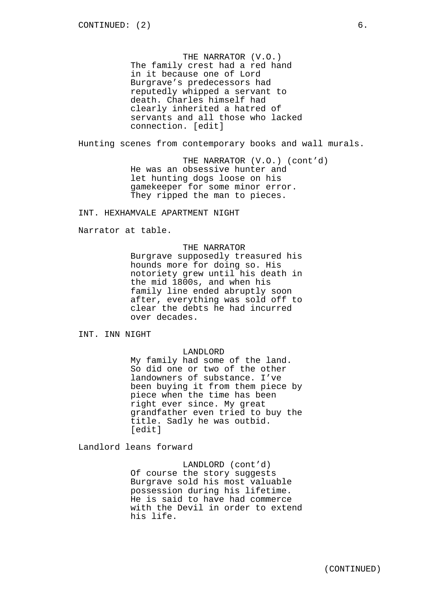THE NARRATOR (V.O.) The family crest had a red hand in it because one of Lord Burgrave's predecessors had reputedly whipped a servant to death. Charles himself had clearly inherited a hatred of servants and all those who lacked connection. [edit]

Hunting scenes from contemporary books and wall murals.

THE NARRATOR (V.O.) (cont'd) He was an obsessive hunter and let hunting dogs loose on his gamekeeper for some minor error. They ripped the man to pieces.

INT. HEXHAMVALE APARTMENT NIGHT

Narrator at table.

# THE NARRATOR

Burgrave supposedly treasured his hounds more for doing so. His notoriety grew until his death in the mid 1800s, and when his family line ended abruptly soon after, everything was sold off to clear the debts he had incurred over decades.

INT. INN NIGHT

### LANDLORD

My family had some of the land. So did one or two of the other landowners of substance. I've been buying it from them piece by piece when the time has been right ever since. My great grandfather even tried to buy the title. Sadly he was outbid. [edit]

Landlord leans forward

LANDLORD (cont'd) Of course the story suggests Burgrave sold his most valuable possession during his lifetime. He is said to have had commerce with the Devil in order to extend his life.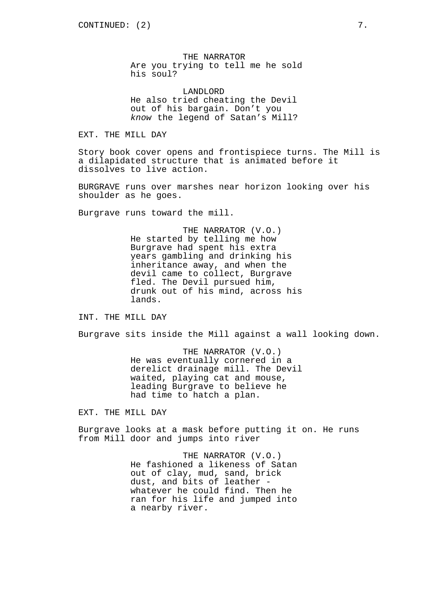THE NARRATOR Are you trying to tell me he sold his soul?

LANDLORD He also tried cheating the Devil out of his bargain. Don't you *know* the legend of Satan's Mill?

EXT. THE MILL DAY

Story book cover opens and frontispiece turns. The Mill is a dilapidated structure that is animated before it dissolves to live action.

BURGRAVE runs over marshes near horizon looking over his shoulder as he goes.

Burgrave runs toward the mill.

THE NARRATOR (V.O.) He started by telling me how Burgrave had spent his extra years gambling and drinking his inheritance away, and when the devil came to collect, Burgrave fled. The Devil pursued him, drunk out of his mind, across his lands.

INT. THE MILL DAY

Burgrave sits inside the Mill against a wall looking down.

THE NARRATOR (V.O.) He was eventually cornered in a derelict drainage mill. The Devil waited, playing cat and mouse, leading Burgrave to believe he had time to hatch a plan.

EXT. THE MILL DAY

Burgrave looks at a mask before putting it on. He runs from Mill door and jumps into river

> THE NARRATOR (V.O.) He fashioned a likeness of Satan out of clay, mud, sand, brick dust, and bits of leather whatever he could find. Then he ran for his life and jumped into a nearby river.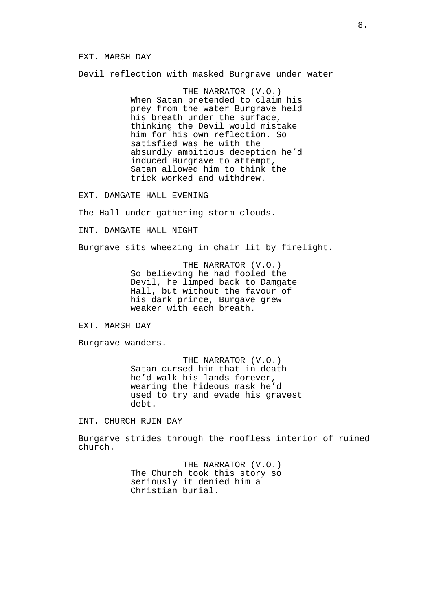#### EXT. MARSH DAY

Devil reflection with masked Burgrave under water

THE NARRATOR (V.O.) When Satan pretended to claim his prey from the water Burgrave held his breath under the surface, thinking the Devil would mistake him for his own reflection. So satisfied was he with the absurdly ambitious deception he'd induced Burgrave to attempt, Satan allowed him to think the trick worked and withdrew.

EXT. DAMGATE HALL EVENING

The Hall under gathering storm clouds.

INT. DAMGATE HALL NIGHT

Burgrave sits wheezing in chair lit by firelight.

THE NARRATOR (V.O.) So believing he had fooled the Devil, he limped back to Damgate Hall, but without the favour of his dark prince, Burgave grew weaker with each breath.

EXT. MARSH DAY

Burgrave wanders.

THE NARRATOR (V.O.) Satan cursed him that in death he'd walk his lands forever, wearing the hideous mask he'd used to try and evade his gravest debt.

INT. CHURCH RUIN DAY

Burgarve strides through the roofless interior of ruined church.

> THE NARRATOR (V.O.) The Church took this story so seriously it denied him a Christian burial.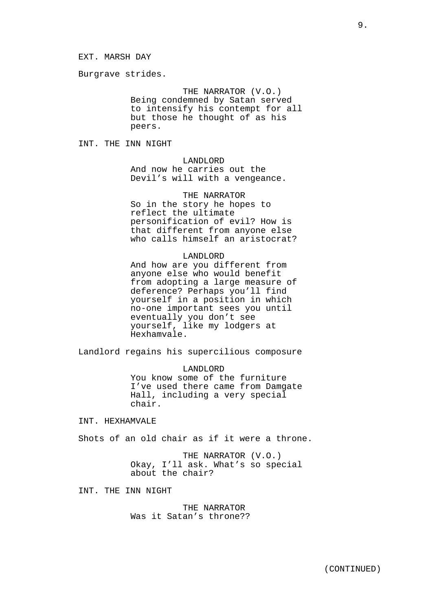Burgrave strides.

THE NARRATOR (V.O.) Being condemned by Satan served to intensify his contempt for all but those he thought of as his peers.

INT. THE INN NIGHT

## LANDLORD

And now he carries out the Devil's will with a vengeance.

THE NARRATOR So in the story he hopes to reflect the ultimate personification of evil? How is that different from anyone else who calls himself an aristocrat?

#### LANDLORD

And how are you different from anyone else who would benefit from adopting a large measure of deference? Perhaps you'll find yourself in a position in which no-one important sees you until eventually you don't see yourself, like my lodgers at Hexhamvale.

Landlord regains his supercilious composure

LANDLORD

You know some of the furniture I've used there came from Damgate Hall, including a very special chair.

INT. HEXHAMVALE

Shots of an old chair as if it were a throne.

THE NARRATOR (V.O.) Okay, I'll ask. What's so special about the chair?

INT. THE INN NIGHT

THE NARRATOR Was it Satan's throne??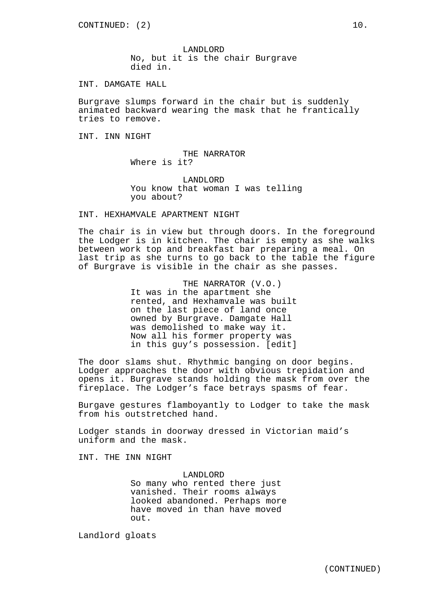LANDLORD No, but it is the chair Burgrave died in.

INT. DAMGATE HALL

Burgrave slumps forward in the chair but is suddenly animated backward wearing the mask that he frantically tries to remove.

INT. INN NIGHT

THE NARRATOR Where is it?

LANDLORD You know that woman I was telling you about?

INT. HEXHAMVALE APARTMENT NIGHT

The chair is in view but through doors. In the foreground the Lodger is in kitchen. The chair is empty as she walks between work top and breakfast bar preparing a meal. On last trip as she turns to go back to the table the figure of Burgrave is visible in the chair as she passes.

> THE NARRATOR (V.O.) It was in the apartment she rented, and Hexhamvale was built on the last piece of land once owned by Burgrave. Damgate Hall was demolished to make way it. Now all his former property was in this guy's possession. [edit]

The door slams shut. Rhythmic banging on door begins. Lodger approaches the door with obvious trepidation and opens it. Burgrave stands holding the mask from over the fireplace. The Lodger's face betrays spasms of fear.

Burgave gestures flamboyantly to Lodger to take the mask from his outstretched hand.

Lodger stands in doorway dressed in Victorian maid's uniform and the mask.

INT. THE INN NIGHT

LANDLORD

So many who rented there just vanished. Their rooms always looked abandoned. Perhaps more have moved in than have moved out.

Landlord gloats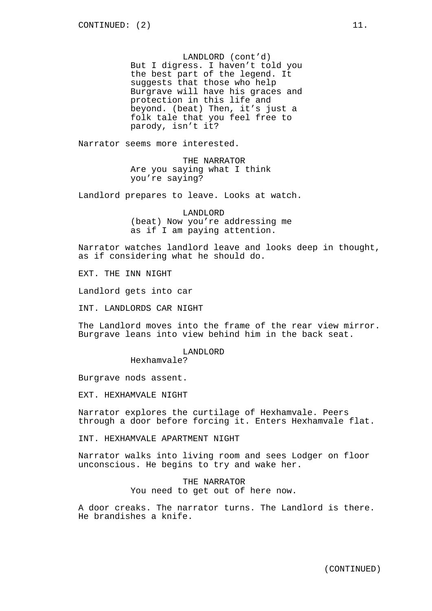LANDLORD (cont'd) But I digress. I haven't told you the best part of the legend. It suggests that those who help Burgrave will have his graces and protection in this life and beyond. (beat) Then, it's just a folk tale that you feel free to parody, isn't it?

Narrator seems more interested.

THE NARRATOR Are you saying what I think you're saying?

Landlord prepares to leave. Looks at watch.

LANDLORD (beat) Now you're addressing me as if I am paying attention.

Narrator watches landlord leave and looks deep in thought, as if considering what he should do.

EXT. THE INN NIGHT

Landlord gets into car

INT. LANDLORDS CAR NIGHT

The Landlord moves into the frame of the rear view mirror. Burgrave leans into view behind him in the back seat.

LANDLORD

Hexhamvale?

Burgrave nods assent.

EXT. HEXHAMVALE NIGHT

Narrator explores the curtilage of Hexhamvale. Peers through a door before forcing it. Enters Hexhamvale flat.

INT. HEXHAMVALE APARTMENT NIGHT

Narrator walks into living room and sees Lodger on floor unconscious. He begins to try and wake her.

> THE NARRATOR You need to get out of here now.

A door creaks. The narrator turns. The Landlord is there. He brandishes a knife.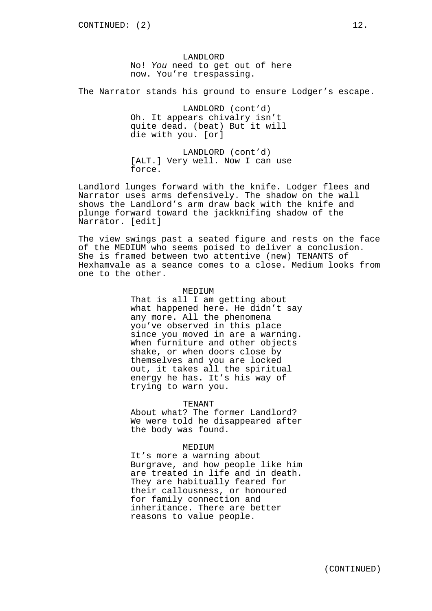LANDLORD No! *You* need to get out of here now. You're trespassing.

The Narrator stands his ground to ensure Lodger's escape.

LANDLORD (cont'd) Oh. It appears chivalry isn't quite dead. (beat) But it will die with you. [or]

LANDLORD (cont'd) [ALT.] Very well. Now I can use force.

Landlord lunges forward with the knife. Lodger flees and Narrator uses arms defensively. The shadow on the wall shows the Landlord's arm draw back with the knife and plunge forward toward the jackknifing shadow of the Narrator. [edit]

The view swings past a seated figure and rests on the face of the MEDIUM who seems poised to deliver a conclusion. She is framed between two attentive (new) TENANTS of Hexhamvale as a seance comes to a close. Medium looks from one to the other.

# MEDIUM

That is all I am getting about what happened here. He didn't say any more. All the phenomena you've observed in this place since you moved in are a warning. When furniture and other objects shake, or when doors close by themselves and you are locked out, it takes all the spiritual energy he has. It's his way of trying to warn you.

TENANT

About what? The former Landlord? We were told he disappeared after the body was found.

## MEDIUM

It's more a warning about Burgrave, and how people like him are treated in life and in death. They are habitually feared for their callousness, or honoured for family connection and inheritance. There are better reasons to value people.